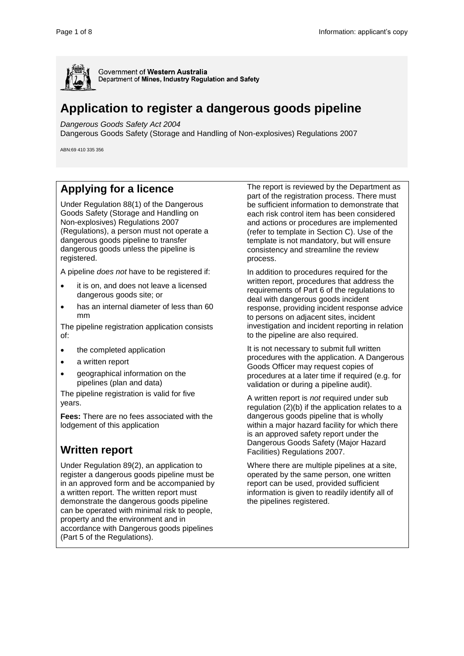

Government of Western Australia Department of Mines, Industry Regulation and Safety

# **Application to register a dangerous goods pipeline**

*Dangerous Goods Safety Act 2004*

Dangerous Goods Safety (Storage and Handling of Non-explosives) Regulations 2007

ABN:69 410 335 356

### **Applying for a licence**

Under Regulation 88(1) of the Dangerous Goods Safety (Storage and Handling on Non-explosives) Regulations 2007 (Regulations), a person must not operate a dangerous goods pipeline to transfer dangerous goods unless the pipeline is registered.

A pipeline *does not* have to be registered if:

- it is on, and does not leave a licensed dangerous goods site; or
- has an internal diameter of less than 60 mm

The pipeline registration application consists of:

- the completed application
- a written report
- geographical information on the pipelines (plan and data)

The pipeline registration is valid for five years.

**Fees:** There are no fees associated with the lodgement of this application

### **Written report**

Under Regulation 89(2), an application to register a dangerous goods pipeline must be in an approved form and be accompanied by a written report. The written report must demonstrate the dangerous goods pipeline can be operated with minimal risk to people, property and the environment and in accordance with Dangerous goods pipelines (Part 5 of the Regulations).

The report is reviewed by the Department as part of the registration process. There must be sufficient information to demonstrate that each risk control item has been considered and actions or procedures are implemented (refer to template in Section C). Use of the template is not mandatory, but will ensure consistency and streamline the review process.

In addition to procedures required for the written report, procedures that address the requirements of Part 6 of the regulations to deal with dangerous goods incident response, providing incident response advice to persons on adjacent sites, incident investigation and incident reporting in relation to the pipeline are also required.

It is not necessary to submit full written procedures with the application. A Dangerous Goods Officer may request copies of procedures at a later time if required (e.g. for validation or during a pipeline audit).

A written report is *not* required under sub regulation (2)(b) if the application relates to a dangerous goods pipeline that is wholly within a major hazard facility for which there is an approved safety report under the Dangerous Goods Safety (Major Hazard Facilities) Regulations 2007.

Where there are multiple pipelines at a site, operated by the same person, one written report can be used, provided sufficient information is given to readily identify all of the pipelines registered.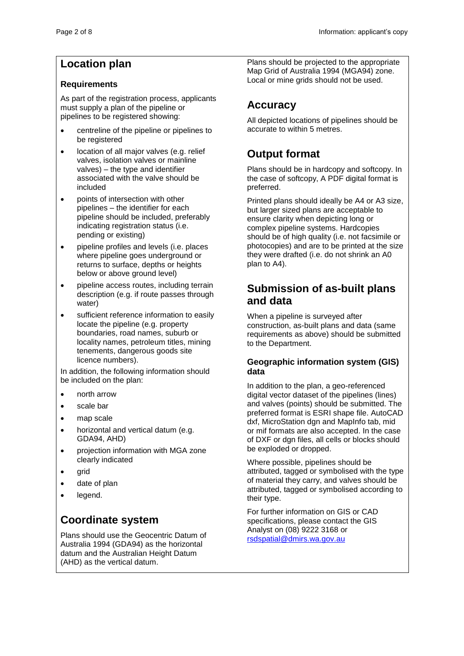### **Location plan**

#### **Requirements**

As part of the registration process, applicants must supply a plan of the pipeline or pipelines to be registered showing:

- centreline of the pipeline or pipelines to be registered
- location of all major valves (e.g. relief valves, isolation valves or mainline valves) – the type and identifier associated with the valve should be included
- points of intersection with other pipelines – the identifier for each pipeline should be included, preferably indicating registration status (i.e. pending or existing)
- pipeline profiles and levels (i.e. places where pipeline goes underground or returns to surface, depths or heights below or above ground level)
- pipeline access routes, including terrain description (e.g. if route passes through water)
- sufficient reference information to easily locate the pipeline (e.g. property boundaries, road names, suburb or locality names, petroleum titles, mining tenements, dangerous goods site licence numbers).

In addition, the following information should be included on the plan:

- north arrow
- scale bar
- map scale
- horizontal and vertical datum (e.g. GDA94, AHD)
- projection information with MGA zone clearly indicated
- grid
- date of plan
- legend.

# **Coordinate system**

Plans should use the Geocentric Datum of Australia 1994 (GDA94) as the horizontal datum and the Australian Height Datum (AHD) as the vertical datum.

Plans should be projected to the appropriate Map Grid of Australia 1994 (MGA94) zone. Local or mine grids should not be used.

# **Accuracy**

All depicted locations of pipelines should be accurate to within 5 metres.

# **Output format**

Plans should be in hardcopy and softcopy. In the case of softcopy, A PDF digital format is preferred.

Printed plans should ideally be A4 or A3 size, but larger sized plans are acceptable to ensure clarity when depicting long or complex pipeline systems. Hardcopies should be of high quality (i.e. not facsimile or photocopies) and are to be printed at the size they were drafted (i.e. do not shrink an A0 plan to A4).

### **Submission of as-built plans and data**

When a pipeline is surveyed after construction, as-built plans and data (same requirements as above) should be submitted to the Department.

#### **Geographic information system (GIS) data**

In addition to the plan, a geo-referenced digital vector dataset of the pipelines (lines) and valves (points) should be submitted. The preferred format is ESRI shape file. AutoCAD dxf, MicroStation dgn and MapInfo tab, mid or mif formats are also accepted. In the case of DXF or dgn files, all cells or blocks should be exploded or dropped.

Where possible, pipelines should be attributed, tagged or symbolised with the type of material they carry, and valves should be attributed, tagged or symbolised according to their type.

For further information on GIS or CAD specifications, please contact the GIS Analyst on (08) 9222 3168 or [rsdspatial@dmirs.wa.gov.au](mailto:rsdspatial@dmirs.wa.gov.au)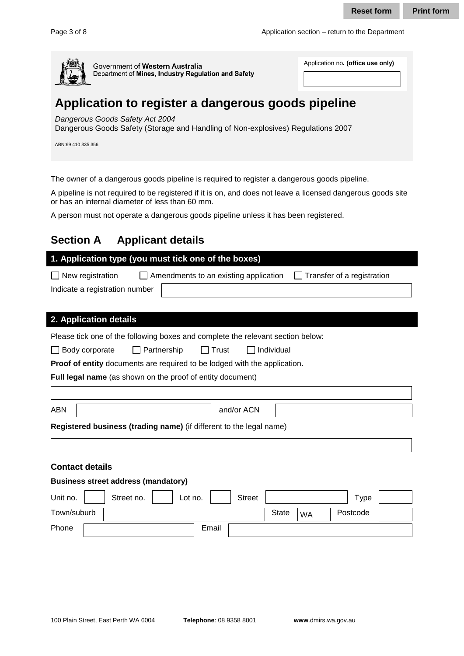

# **Application to register a dangerous goods pipeline**

#### *Dangerous Goods Safety Act 2004*

### **Section A Applicant details**

|                                                                                                                                                                                                                                                                                                                                                      |              |           | <b>Reset form</b>                              | <b>Print form</b> |
|------------------------------------------------------------------------------------------------------------------------------------------------------------------------------------------------------------------------------------------------------------------------------------------------------------------------------------------------------|--------------|-----------|------------------------------------------------|-------------------|
| Page 3 of 8                                                                                                                                                                                                                                                                                                                                          |              |           | Application section – return to the Department |                   |
| Government of Western Australia<br>Department of Mines, Industry Regulation and Safety                                                                                                                                                                                                                                                               |              |           | Application no. (office use only)              |                   |
| Application to register a dangerous goods pipeline<br>Dangerous Goods Safety Act 2004<br>Dangerous Goods Safety (Storage and Handling of Non-explosives) Regulations 2007<br>ABN:69 410 335 356                                                                                                                                                      |              |           |                                                |                   |
| The owner of a dangerous goods pipeline is required to register a dangerous goods pipeline.<br>A pipeline is not required to be registered if it is on, and does not leave a licensed dangerous goods site<br>or has an internal diameter of less than 60 mm.<br>A person must not operate a dangerous goods pipeline unless it has been registered. |              |           |                                                |                   |
| <b>Section A</b><br><b>Applicant details</b>                                                                                                                                                                                                                                                                                                         |              |           |                                                |                   |
| 1. Application type (you must tick one of the boxes)<br>$\Box$ New registration<br>Amendments to an existing application<br>Indicate a registration number                                                                                                                                                                                           |              |           | Transfer of a registration                     |                   |
| 2. Application details<br>Please tick one of the following boxes and complete the relevant section below:<br>$\Box$ Body corporate<br>Partnership<br>Trust<br>Proof of entity documents are required to be lodged with the application.<br>Full legal name (as shown on the proof of entity document)                                                | Individual   |           |                                                |                   |
| <b>ABN</b><br>and/or ACN                                                                                                                                                                                                                                                                                                                             |              |           |                                                |                   |
| Registered business (trading name) (if different to the legal name)                                                                                                                                                                                                                                                                                  |              |           |                                                |                   |
|                                                                                                                                                                                                                                                                                                                                                      |              |           |                                                |                   |
| <b>Contact details</b>                                                                                                                                                                                                                                                                                                                               |              |           |                                                |                   |
| <b>Business street address (mandatory)</b>                                                                                                                                                                                                                                                                                                           |              |           |                                                |                   |
| Street no.<br>Unit no.<br>Lot no.<br><b>Street</b>                                                                                                                                                                                                                                                                                                   |              |           | <b>Type</b>                                    |                   |
| Town/suburb                                                                                                                                                                                                                                                                                                                                          | <b>State</b> | <b>WA</b> | Postcode                                       |                   |

#### **Contact details**

#### **Business street address (mandatory)**

| Unit no.    | Street no. | Lot no. | <b>Street</b> |              |           | Type     |  |
|-------------|------------|---------|---------------|--------------|-----------|----------|--|
| Town/suburb |            |         |               | <b>State</b> | <b>WA</b> | Postcode |  |
| Phone       |            | Email   |               |              |           |          |  |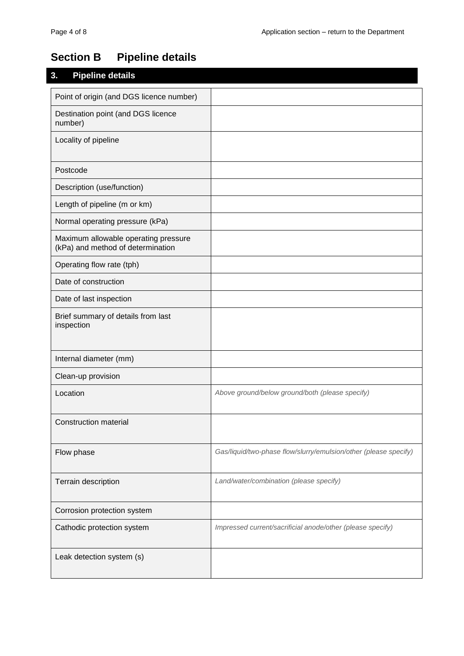### **Section B Pipeline details**

# **3. Pipeline details**  Point of origin (and DGS licence number) Destination point (and DGS licence number) Locality of pipeline Postcode Description (use/function) Length of pipeline (m or km) Normal operating pressure (kPa) Maximum allowable operating pressure (kPa) and method of determination Operating flow rate (tph) Date of construction Date of last inspection Brief summary of details from last inspection Internal diameter (mm) Clean-up provision Location *Above ground/below ground/both (please specify)*  Construction material Flow phase *Flow phase Gas/liquid/two-phase flow/slurry/emulsion/other (please specify)* Terrain description *Land/water/combination (please specify)*  Corrosion protection system Cathodic protection system *Impressed current/sacrificial anode/other (please specify)* Leak detection system (s)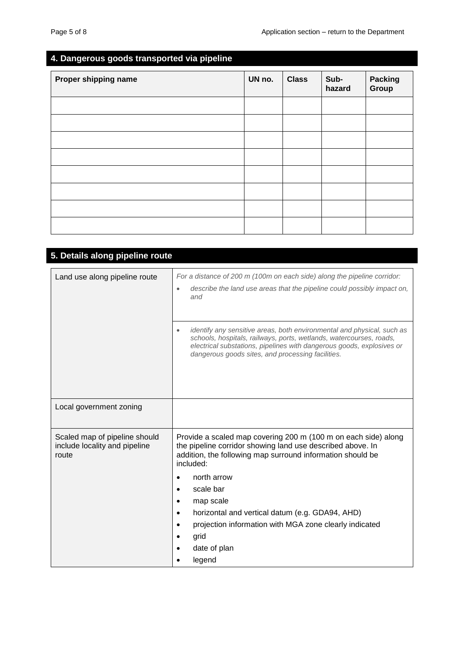### **4. Dangerous goods transported via pipeline**

| Proper shipping name | UN no. | <b>Class</b> | Sub-<br>hazard | Packing<br>Group |
|----------------------|--------|--------------|----------------|------------------|
|                      |        |              |                |                  |
|                      |        |              |                |                  |
|                      |        |              |                |                  |
|                      |        |              |                |                  |
|                      |        |              |                |                  |
|                      |        |              |                |                  |
|                      |        |              |                |                  |
|                      |        |              |                |                  |

| 5. Details along pipeline route                                         |                                                                                                                                                                                                                                                                                                                                                                                                                                                        |
|-------------------------------------------------------------------------|--------------------------------------------------------------------------------------------------------------------------------------------------------------------------------------------------------------------------------------------------------------------------------------------------------------------------------------------------------------------------------------------------------------------------------------------------------|
| Land use along pipeline route                                           | For a distance of 200 m (100m on each side) along the pipeline corridor:<br>describe the land use areas that the pipeline could possibly impact on,<br>and<br>identify any sensitive areas, both environmental and physical, such as<br>$\bullet$<br>schools, hospitals, railways, ports, wetlands, watercourses, roads,<br>electrical substations, pipelines with dangerous goods, explosives or<br>dangerous goods sites, and processing facilities. |
| Local government zoning                                                 |                                                                                                                                                                                                                                                                                                                                                                                                                                                        |
| Scaled map of pipeline should<br>include locality and pipeline<br>route | Provide a scaled map covering 200 m (100 m on each side) along<br>the pipeline corridor showing land use described above. In<br>addition, the following map surround information should be<br>included:<br>north arrow<br>scale bar<br>٠<br>map scale<br>٠<br>horizontal and vertical datum (e.g. GDA94, AHD)<br>$\bullet$<br>projection information with MGA zone clearly indicated<br>grid<br>date of plan<br>٠<br>legend<br>$\bullet$               |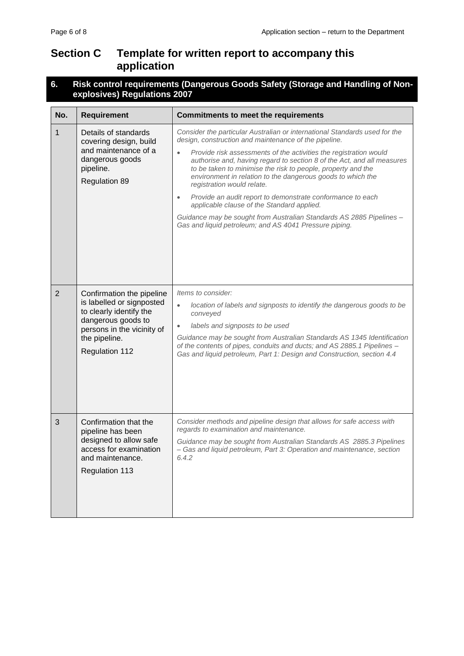### **Section C Template for written report to accompany this application**

#### **6. Risk control requirements (Dangerous Goods Safety (Storage and Handling of Nonexplosives) Regulations 2007**

| No.            | <b>Requirement</b>                                                                                                                                                       | <b>Commitments to meet the requirements</b>                                                                                                                                                                                                                                                                                                                                                                                                                                                                                                                                                                                                                                                                |  |  |  |  |
|----------------|--------------------------------------------------------------------------------------------------------------------------------------------------------------------------|------------------------------------------------------------------------------------------------------------------------------------------------------------------------------------------------------------------------------------------------------------------------------------------------------------------------------------------------------------------------------------------------------------------------------------------------------------------------------------------------------------------------------------------------------------------------------------------------------------------------------------------------------------------------------------------------------------|--|--|--|--|
| 1              | Details of standards<br>covering design, build<br>and maintenance of a<br>dangerous goods<br>pipeline.<br><b>Regulation 89</b>                                           | Consider the particular Australian or international Standards used for the<br>design, construction and maintenance of the pipeline.<br>Provide risk assessments of the activities the registration would<br>authorise and, having regard to section 8 of the Act, and all measures<br>to be taken to minimise the risk to people, property and the<br>environment in relation to the dangerous goods to which the<br>registration would relate.<br>Provide an audit report to demonstrate conformance to each<br>$\bullet$<br>applicable clause of the Standard applied.<br>Guidance may be sought from Australian Standards AS 2885 Pipelines -<br>Gas and liquid petroleum; and AS 4041 Pressure piping. |  |  |  |  |
| $\overline{2}$ | Confirmation the pipeline<br>is labelled or signposted<br>to clearly identify the<br>dangerous goods to<br>persons in the vicinity of<br>the pipeline.<br>Regulation 112 | Items to consider:<br>location of labels and signposts to identify the dangerous goods to be<br>$\bullet$<br>conveyed<br>labels and signposts to be used<br>$\bullet$<br>Guidance may be sought from Australian Standards AS 1345 Identification<br>of the contents of pipes, conduits and ducts; and AS 2885.1 Pipelines -<br>Gas and liquid petroleum, Part 1: Design and Construction, section 4.4                                                                                                                                                                                                                                                                                                      |  |  |  |  |
| 3              | Confirmation that the<br>pipeline has been<br>designed to allow safe<br>access for examination<br>and maintenance.<br>Regulation 113                                     | Consider methods and pipeline design that allows for safe access with<br>regards to examination and maintenance.<br>Guidance may be sought from Australian Standards AS 2885.3 Pipelines<br>- Gas and liquid petroleum, Part 3: Operation and maintenance, section<br>6.4.2                                                                                                                                                                                                                                                                                                                                                                                                                                |  |  |  |  |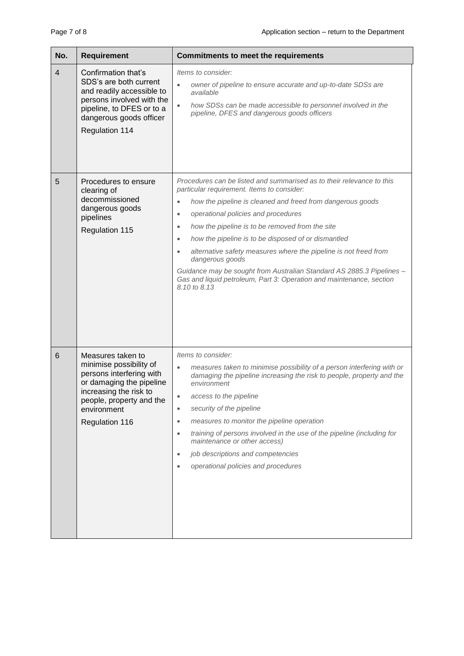| No.             | Requirement                                                                                                                                                                                 | <b>Commitments to meet the requirements</b>                                                                                                                                                                                                                                                                                                                                                                                                                                                                                                                                                                                                                 |
|-----------------|---------------------------------------------------------------------------------------------------------------------------------------------------------------------------------------------|-------------------------------------------------------------------------------------------------------------------------------------------------------------------------------------------------------------------------------------------------------------------------------------------------------------------------------------------------------------------------------------------------------------------------------------------------------------------------------------------------------------------------------------------------------------------------------------------------------------------------------------------------------------|
| $\overline{4}$  | Confirmation that's<br>SDS's are both current<br>and readily accessible to<br>persons involved with the<br>pipeline, to DFES or to a<br>dangerous goods officer<br><b>Regulation 114</b>    | Items to consider:<br>$\bullet$<br>owner of pipeline to ensure accurate and up-to-date SDSs are<br>available<br>$\bullet$<br>how SDSs can be made accessible to personnel involved in the<br>pipeline, DFES and dangerous goods officers                                                                                                                                                                                                                                                                                                                                                                                                                    |
| 5               | Procedures to ensure<br>clearing of<br>decommissioned<br>dangerous goods<br>pipelines<br>Regulation 115                                                                                     | Procedures can be listed and summarised as to their relevance to this<br>particular requirement. Items to consider:<br>how the pipeline is cleaned and freed from dangerous goods<br>$\bullet$<br>operational policies and procedures<br>$\bullet$<br>how the pipeline is to be removed from the site<br>$\bullet$<br>how the pipeline is to be disposed of or dismantled<br>$\bullet$<br>alternative safety measures where the pipeline is not freed from<br>$\bullet$<br>dangerous goods<br>Guidance may be sought from Australian Standard AS 2885.3 Pipelines -<br>Gas and liquid petroleum, Part 3: Operation and maintenance, section<br>8.10 to 8.13 |
| $6\phantom{1}6$ | Measures taken to<br>minimise possibility of<br>persons interfering with<br>or damaging the pipeline<br>increasing the risk to<br>people, property and the<br>environment<br>Regulation 116 | Items to consider:<br>measures taken to minimise possibility of a person interfering with or<br>$\bullet$<br>damaging the pipeline increasing the risk to people, property and the<br>environment<br>access to the pipeline<br>$\bullet$<br>security of the pipeline<br>$\bullet$<br>measures to monitor the pipeline operation<br>$\bullet$<br>training of persons involved in the use of the pipeline (including for<br>$\bullet$<br>maintenance or other access)<br>job descriptions and competencies<br>$\bullet$<br>operational policies and procedures<br>$\bullet$                                                                                   |